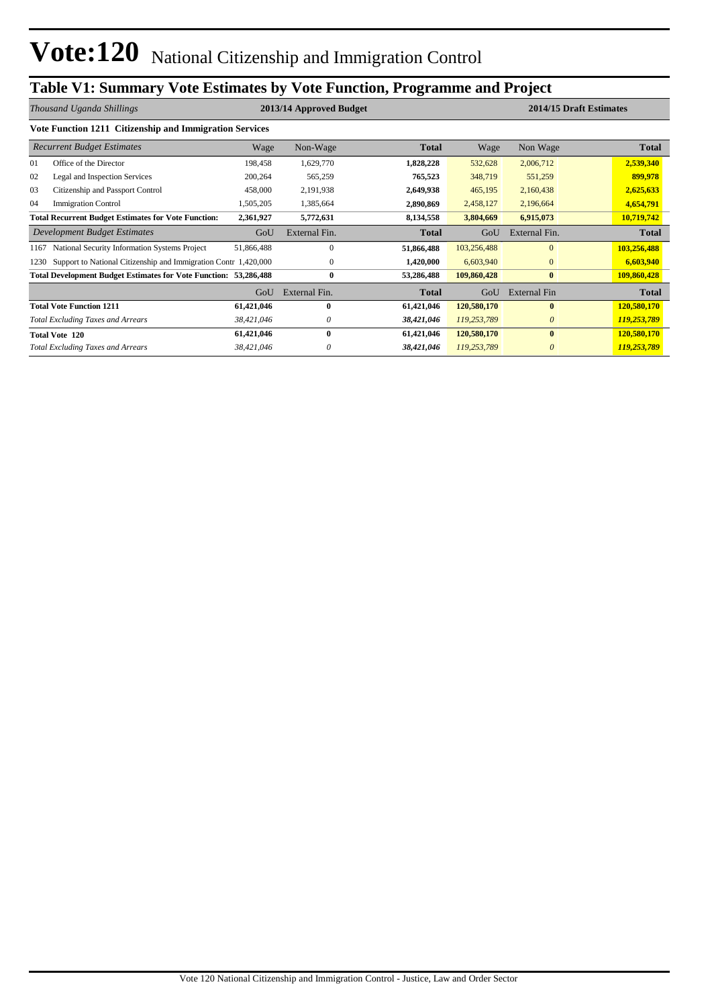## **Table V1: Summary Vote Estimates by Vote Function, Programme and Project**

| Thousand Uganda Shillings |                                                                         |            | 2013/14 Approved Budget |              |             |               | 2014/15 Draft Estimates |
|---------------------------|-------------------------------------------------------------------------|------------|-------------------------|--------------|-------------|---------------|-------------------------|
|                           | Vote Function 1211 Citizenship and Immigration Services                 |            |                         |              |             |               |                         |
|                           | <b>Recurrent Budget Estimates</b>                                       | Wage       | Non-Wage                | <b>Total</b> | Wage        | Non Wage      | <b>Total</b>            |
| 01                        | Office of the Director                                                  | 198,458    | 1,629,770               | 1,828,228    | 532,628     | 2,006,712     | 2,539,340               |
| 02                        | Legal and Inspection Services                                           | 200,264    | 565,259                 | 765,523      | 348,719     | 551,259       | 899,978                 |
| 03                        | Citizenship and Passport Control                                        | 458,000    | 2,191,938               | 2,649,938    | 465,195     | 2,160,438     | 2,625,633               |
| 04                        | <b>Immigration Control</b>                                              | 1,505,205  | 1,385,664               | 2,890,869    | 2,458,127   | 2,196,664     | 4,654,791               |
|                           | <b>Total Recurrent Budget Estimates for Vote Function:</b>              | 2,361,927  | 5,772,631               | 8,134,558    | 3,804,669   | 6,915,073     | 10,719,742              |
|                           | Development Budget Estimates                                            | GoU        | External Fin.           | <b>Total</b> | GoU         | External Fin. | <b>Total</b>            |
| 1167                      | National Security Information Systems Project                           | 51,866,488 | $\mathbf{0}$            | 51,866,488   | 103,256,488 | $\Omega$      | 103,256,488             |
| 1230                      | Support to National Citizenship and Immigration Contr 1,420,000         |            | $\mathbf{0}$            | 1,420,000    | 6,603,940   | $\mathbf{0}$  | 6,603,940               |
|                           | <b>Total Development Budget Estimates for Vote Function: 53,286,488</b> |            | $\bf{0}$                | 53,286,488   | 109,860,428 | $\bf{0}$      | 109,860,428             |
|                           |                                                                         | GoU        | External Fin.           | <b>Total</b> | GoU         | External Fin  | <b>Total</b>            |
|                           | <b>Total Vote Function 1211</b>                                         | 61,421,046 | $\mathbf{0}$            | 61,421,046   | 120,580,170 | $\mathbf{0}$  | 120,580,170             |
|                           | <b>Total Excluding Taxes and Arrears</b>                                | 38,421,046 | 0                       | 38,421,046   | 119,253,789 | $\theta$      | 119,253,789             |
|                           | <b>Total Vote 120</b>                                                   | 61,421,046 | $\mathbf{0}$            | 61,421,046   | 120,580,170 | $\mathbf{0}$  | 120,580,170             |
|                           | <b>Total Excluding Taxes and Arrears</b>                                | 38,421,046 |                         | 38,421,046   | 119,253,789 | 0             | 119,253,789             |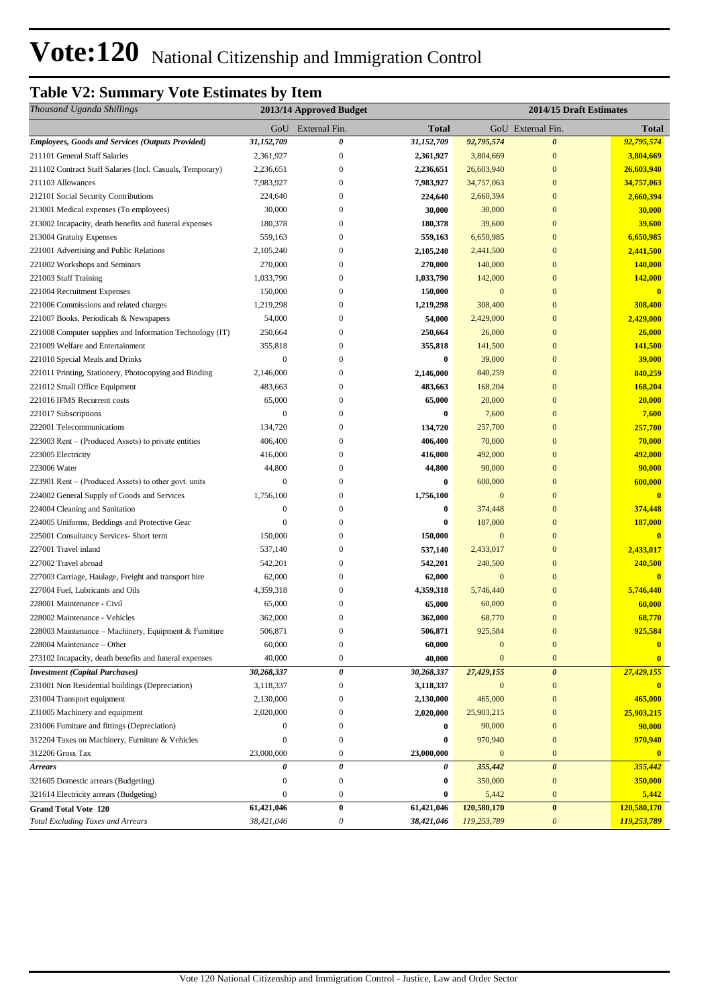## **Table V2: Summary Vote Estimates by Item**

| Thousand Uganda Shillings                                 |                  | 2013/14 Approved Budget |            |                  | 2014/15 Draft Estimates   |                         |
|-----------------------------------------------------------|------------------|-------------------------|------------|------------------|---------------------------|-------------------------|
|                                                           |                  | GoU External Fin.       | Total      |                  | GoU External Fin.         | <b>Total</b>            |
| <b>Employees, Goods and Services (Outputs Provided)</b>   | 31,152,709       | 0                       | 31,152,709 | 92,795,574       | $\boldsymbol{\theta}$     | 92,795,574              |
| 211101 General Staff Salaries                             | 2,361,927        | $\boldsymbol{0}$        | 2,361,927  | 3,804,669        | $\boldsymbol{0}$          | 3,804,669               |
| 211102 Contract Staff Salaries (Incl. Casuals, Temporary) | 2,236,651        | $\boldsymbol{0}$        | 2,236,651  | 26,603,940       | $\boldsymbol{0}$          | 26,603,940              |
| 211103 Allowances                                         | 7,983,927        | $\Omega$                | 7,983,927  | 34,757,063       | $\boldsymbol{0}$          | 34,757,063              |
| 212101 Social Security Contributions                      | 224,640          | $\Omega$                | 224,640    | 2,660,394        | $\boldsymbol{0}$          | 2,660,394               |
| 213001 Medical expenses (To employees)                    | 30,000           | $\Omega$                | 30,000     | 30,000           | $\boldsymbol{0}$          | 30,000                  |
| 213002 Incapacity, death benefits and funeral expenses    | 180,378          | 0                       | 180,378    | 39,600           | $\boldsymbol{0}$          | 39,600                  |
| 213004 Gratuity Expenses                                  | 559,163          | $\Omega$                | 559,163    | 6,650,985        | $\bf{0}$                  | 6,650,985               |
| 221001 Advertising and Public Relations                   | 2,105,240        | $\overline{0}$          | 2,105,240  | 2,441,500        | $\bf{0}$                  | 2,441,500               |
| 221002 Workshops and Seminars                             | 270,000          | $\mathbf{0}$            | 270,000    | 140,000          | $\boldsymbol{0}$          | 140,000                 |
| 221003 Staff Training                                     | 1,033,790        | $\mathbf{0}$            | 1,033,790  | 142,000          | $\boldsymbol{0}$          | 142,000                 |
| 221004 Recruitment Expenses                               | 150,000          | $\boldsymbol{0}$        | 150,000    | $\mathbf{0}$     | $\boldsymbol{0}$          | $\overline{\mathbf{0}}$ |
| 221006 Commissions and related charges                    | 1,219,298        | $\overline{0}$          | 1,219,298  | 308,400          | $\mathbf{0}$              | 308,400                 |
| 221007 Books, Periodicals & Newspapers                    | 54,000           | $\mathbf{0}$            | 54,000     | 2,429,000        | $\mathbf{0}$              | 2,429,000               |
| 221008 Computer supplies and Information Technology (IT)  | 250,664          | $\boldsymbol{0}$        | 250,664    | 26,000           | $\boldsymbol{0}$          | 26,000                  |
| 221009 Welfare and Entertainment                          | 355,818          | 0                       | 355,818    | 141,500          | $\mathbf{0}$              | 141,500                 |
| 221010 Special Meals and Drinks                           | $\boldsymbol{0}$ | 0                       | $\bf{0}$   | 39,000           | $\boldsymbol{0}$          | 39,000                  |
| 221011 Printing, Stationery, Photocopying and Binding     | 2,146,000        | $\overline{0}$          | 2,146,000  | 840,259          | $\mathbf{0}$              | 840,259                 |
| 221012 Small Office Equipment                             | 483,663          | $\overline{0}$          | 483,663    | 168,204          | $\mathbf{0}$              | 168,204                 |
| 221016 IFMS Recurrent costs                               | 65,000           | 0                       | 65,000     | 20,000           | $\boldsymbol{0}$          | 20,000                  |
| 221017 Subscriptions                                      | $\overline{0}$   | $\overline{0}$          | 0          | 7,600            | $\boldsymbol{0}$          | 7,600                   |
| 222001 Telecommunications                                 | 134,720          | $\Omega$                | 134,720    | 257,700          | $\boldsymbol{0}$          | 257,700                 |
| 223003 Rent – (Produced Assets) to private entities       | 406,400          | $\Omega$                | 406,400    | 70,000           | $\mathbf{0}$              | 70,000                  |
| 223005 Electricity                                        | 416,000          | 0                       | 416,000    | 492,000          | $\boldsymbol{0}$          | 492,000                 |
| 223006 Water                                              | 44,800           | 0                       | 44,800     | 90,000           | $\boldsymbol{0}$          | 90,000                  |
| 223901 Rent – (Produced Assets) to other govt. units      | $\mathbf{0}$     | 0                       | $\bf{0}$   | 600,000          | $\boldsymbol{0}$          | 600,000                 |
| 224002 General Supply of Goods and Services               | 1,756,100        | 0                       | 1,756,100  | $\mathbf{0}$     | $\mathbf{0}$              | $\mathbf{0}$            |
| 224004 Cleaning and Sanitation                            | $\mathbf{0}$     | $\overline{0}$          | 0          | 374,448          | $\mathbf{0}$              | 374,448                 |
| 224005 Uniforms, Beddings and Protective Gear             | 0                | 0                       | 0          | 187,000          | $\boldsymbol{0}$          | 187,000                 |
| 225001 Consultancy Services- Short term                   | 150,000          | $\Omega$                | 150,000    | $\mathbf{0}$     | $\mathbf{0}$              | $\bf{0}$                |
| 227001 Travel inland                                      | 537,140          | $\mathbf{0}$            | 537,140    | 2,433,017        | $\boldsymbol{0}$          | 2,433,017               |
| 227002 Travel abroad                                      | 542,201          | $\overline{0}$          | 542,201    | 240,500          | $\mathbf{0}$              | 240,500                 |
| 227003 Carriage, Haulage, Freight and transport hire      | 62,000           | $\mathbf{0}$            | 62,000     | $\mathbf{0}$     | $\mathbf{0}$              | $\overline{\mathbf{0}}$ |
| 227004 Fuel, Lubricants and Oils                          | 4,359,318        | $\boldsymbol{0}$        | 4,359,318  | 5,746,440        | $\boldsymbol{0}$          | 5,746,440               |
| 228001 Maintenance - Civil                                | 65,000           | 0                       | 65,000     | 60,000           | $\boldsymbol{0}$          | 60,000                  |
| 228002 Maintenance - Vehicles                             | 362,000          | 0                       | 362,000    | 68,770           | $\boldsymbol{0}$          | 68,770                  |
| 228003 Maintenance – Machinery, Equipment & Furniture     | 506,871          | $\mathbf{0}$            | 506,871    | 925,584          | $\overline{0}$            | 925,584                 |
| 228004 Maintenance - Other                                | 60,000           | $\boldsymbol{0}$        | 60,000     | $\boldsymbol{0}$ | $\boldsymbol{0}$          | $\bf{0}$                |
| 273102 Incapacity, death benefits and funeral expenses    | 40,000           | $\boldsymbol{0}$        | 40,000     | $\mathbf{0}$     | $\mathbf{0}$              | $\mathbf{0}$            |
| <b>Investment</b> (Capital Purchases)                     | 30,268,337       | 0                       | 30,268,337 | 27,429,155       | $\boldsymbol{\theta}$     | 27,429,155              |
| 231001 Non Residential buildings (Depreciation)           | 3,118,337        | $\boldsymbol{0}$        | 3,118,337  | $\boldsymbol{0}$ | $\boldsymbol{0}$          | $\overline{\mathbf{0}}$ |
| 231004 Transport equipment                                | 2,130,000        | 0                       | 2,130,000  | 465,000          | $\mathbf{0}$              | 465,000                 |
| 231005 Machinery and equipment                            | 2,020,000        | 0                       | 2,020,000  | 25,903,215       | $\boldsymbol{0}$          | 25,903,215              |
| 231006 Furniture and fittings (Depreciation)              | $\boldsymbol{0}$ | 0                       | $\bf{0}$   | 90,000           | $\boldsymbol{0}$          | 90,000                  |
| 312204 Taxes on Machinery, Furniture & Vehicles           | $\boldsymbol{0}$ | 0                       | 0          | 970,940          | $\boldsymbol{0}$          | 970,940                 |
| 312206 Gross Tax                                          | 23,000,000       | $\boldsymbol{0}$        | 23,000,000 | $\mathbf{0}$     | $\mathbf{0}$              | $\mathbf{0}$            |
| <b>Arrears</b>                                            | 0                | 0                       | 0          | 355,442          | $\boldsymbol{\theta}$     | 355,442                 |
| 321605 Domestic arrears (Budgeting)                       | $\boldsymbol{0}$ | $\boldsymbol{0}$        | 0          | 350,000          | $\boldsymbol{0}$          | 350,000                 |
| 321614 Electricity arrears (Budgeting)                    | $\boldsymbol{0}$ | $\boldsymbol{0}$        | 0          | 5,442            | $\boldsymbol{0}$          | 5,442                   |
| <b>Grand Total Vote 120</b>                               | 61,421,046       | $\bf{0}$                | 61,421,046 | 120,580,170      | $\boldsymbol{0}$          | 120,580,170             |
| <b>Total Excluding Taxes and Arrears</b>                  | 38,421,046       | 0                       | 38,421,046 | 119,253,789      | $\boldsymbol{\mathit{0}}$ | 119,253,789             |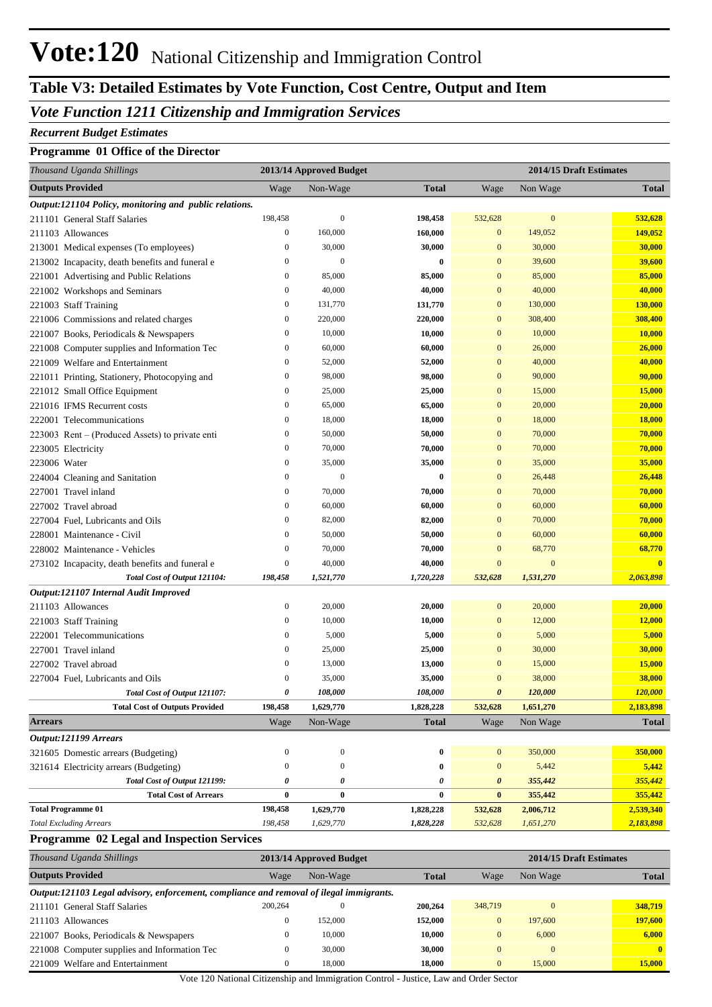## **Table V3: Detailed Estimates by Vote Function, Cost Centre, Output and Item**

### *Vote Function 1211 Citizenship and Immigration Services*

#### *Recurrent Budget Estimates*

#### **Programme 01 Office of the Director**

| Thousand Uganda Shillings                              |                  | 2013/14 Approved Budget |              |                       | 2014/15 Draft Estimates |                         |  |  |
|--------------------------------------------------------|------------------|-------------------------|--------------|-----------------------|-------------------------|-------------------------|--|--|
| <b>Outputs Provided</b>                                | Wage             | Non-Wage                | <b>Total</b> | Wage                  | Non Wage                | <b>Total</b>            |  |  |
| Output:121104 Policy, monitoring and public relations. |                  |                         |              |                       |                         |                         |  |  |
| 211101 General Staff Salaries                          | 198,458          | $\mathbf{0}$            | 198,458      | 532,628               | $\mathbf{0}$            | 532,628                 |  |  |
| 211103 Allowances                                      | $\boldsymbol{0}$ | 160,000                 | 160,000      | $\mathbf{0}$          | 149,052                 | 149,052                 |  |  |
| 213001 Medical expenses (To employees)                 | $\boldsymbol{0}$ | 30,000                  | 30,000       | $\mathbf{0}$          | 30,000                  | 30,000                  |  |  |
| 213002 Incapacity, death benefits and funeral e        | $\boldsymbol{0}$ | $\mathbf{0}$            | 0            | $\mathbf{0}$          | 39,600                  | 39,600                  |  |  |
| 221001 Advertising and Public Relations                | $\boldsymbol{0}$ | 85,000                  | 85,000       | $\mathbf{0}$          | 85,000                  | 85,000                  |  |  |
| 221002 Workshops and Seminars                          | $\boldsymbol{0}$ | 40,000                  | 40,000       | $\mathbf{0}$          | 40,000                  | 40,000                  |  |  |
| 221003 Staff Training                                  | $\boldsymbol{0}$ | 131,770                 | 131,770      | $\mathbf{0}$          | 130,000                 | 130,000                 |  |  |
| 221006 Commissions and related charges                 | $\boldsymbol{0}$ | 220,000                 | 220,000      | $\mathbf{0}$          | 308,400                 | 308,400                 |  |  |
| 221007 Books, Periodicals & Newspapers                 | $\boldsymbol{0}$ | 10,000                  | 10,000       | $\mathbf{0}$          | 10,000                  | 10,000                  |  |  |
| 221008 Computer supplies and Information Tec           | $\boldsymbol{0}$ | 60,000                  | 60,000       | $\mathbf{0}$          | 26,000                  | 26,000                  |  |  |
| 221009 Welfare and Entertainment                       | $\boldsymbol{0}$ | 52,000                  | 52,000       | $\mathbf{0}$          | 40,000                  | 40,000                  |  |  |
| 221011 Printing, Stationery, Photocopying and          | $\boldsymbol{0}$ | 98,000                  | 98,000       | $\mathbf{0}$          | 90,000                  | 90,000                  |  |  |
| 221012 Small Office Equipment                          | $\boldsymbol{0}$ | 25,000                  | 25,000       | $\mathbf{0}$          | 15,000                  | <b>15,000</b>           |  |  |
| 221016 IFMS Recurrent costs                            | $\boldsymbol{0}$ | 65,000                  | 65,000       | $\mathbf{0}$          | 20,000                  | 20,000                  |  |  |
| 222001 Telecommunications                              | $\boldsymbol{0}$ | 18,000                  | 18,000       | $\mathbf{0}$          | 18,000                  | <b>18,000</b>           |  |  |
| 223003 Rent – (Produced Assets) to private enti        | $\boldsymbol{0}$ | 50,000                  | 50,000       | $\mathbf{0}$          | 70,000                  | 70,000                  |  |  |
| 223005 Electricity                                     | $\boldsymbol{0}$ | 70,000                  | 70,000       | $\mathbf{0}$          | 70,000                  | 70,000                  |  |  |
| 223006 Water                                           | $\boldsymbol{0}$ | 35,000                  | 35,000       | $\mathbf{0}$          | 35,000                  | 35,000                  |  |  |
| 224004 Cleaning and Sanitation                         | $\boldsymbol{0}$ | $\mathbf{0}$            | $\bf{0}$     | $\mathbf{0}$          | 26,448                  | 26,448                  |  |  |
| 227001 Travel inland                                   | $\boldsymbol{0}$ | 70,000                  | 70,000       | $\mathbf{0}$          | 70,000                  | 70,000                  |  |  |
| 227002 Travel abroad                                   | $\boldsymbol{0}$ | 60,000                  | 60,000       | $\mathbf{0}$          | 60,000                  | 60,000                  |  |  |
| 227004 Fuel, Lubricants and Oils                       | $\boldsymbol{0}$ | 82,000                  | 82,000       | $\mathbf{0}$          | 70,000                  | 70,000                  |  |  |
| 228001 Maintenance - Civil                             | $\boldsymbol{0}$ | 50,000                  | 50,000       | $\mathbf{0}$          | 60,000                  | 60,000                  |  |  |
| 228002 Maintenance - Vehicles                          | $\boldsymbol{0}$ | 70,000                  | 70,000       | $\mathbf{0}$          | 68,770                  | 68,770                  |  |  |
| 273102 Incapacity, death benefits and funeral e        | $\boldsymbol{0}$ | 40,000                  | 40,000       | $\mathbf{0}$          | $\mathbf{0}$            | $\overline{\mathbf{0}}$ |  |  |
| Total Cost of Output 121104:                           | 198,458          | 1,521,770               | 1,720,228    | 532,628               | 1,531,270               | 2,063,898               |  |  |
| Output:121107 Internal Audit Improved                  |                  |                         |              |                       |                         |                         |  |  |
| 211103 Allowances                                      | $\boldsymbol{0}$ | 20,000                  | 20,000       | $\mathbf{0}$          | 20,000                  | 20,000                  |  |  |
| 221003 Staff Training                                  | $\boldsymbol{0}$ | 10,000                  | 10,000       | $\mathbf{0}$          | 12,000                  | 12,000                  |  |  |
| 222001 Telecommunications                              | $\boldsymbol{0}$ | 5,000                   | 5,000        | $\mathbf{0}$          | 5,000                   | 5,000                   |  |  |
| 227001 Travel inland                                   | $\boldsymbol{0}$ | 25,000                  | 25,000       | $\mathbf{0}$          | 30,000                  | 30,000                  |  |  |
| 227002 Travel abroad                                   | $\boldsymbol{0}$ | 13,000                  | 13,000       | $\mathbf{0}$          | 15,000                  | <b>15,000</b>           |  |  |
| 227004 Fuel, Lubricants and Oils                       | $\boldsymbol{0}$ | 35,000                  | 35,000       | $\mathbf{0}$          | 38,000                  | 38,000                  |  |  |
| Total Cost of Output 121107:                           | 0                | 108,000                 | 108,000      | $\boldsymbol{\theta}$ | 120,000                 | 120,000                 |  |  |
| <b>Total Cost of Outputs Provided</b>                  | 198,458          | 1,629,770               | 1,828,228    | 532,628               | 1,651,270               | 2,183,898               |  |  |
| <b>Arrears</b>                                         | Wage             | Non-Wage                | <b>Total</b> | Wage                  | Non Wage                | <b>Total</b>            |  |  |
| Output:121199 Arrears                                  |                  |                         |              |                       |                         |                         |  |  |
| 321605 Domestic arrears (Budgeting)                    | $\boldsymbol{0}$ | $\boldsymbol{0}$        | 0            | $\mathbf{0}$          | 350,000                 | 350,000                 |  |  |
| 321614 Electricity arrears (Budgeting)                 | $\boldsymbol{0}$ | $\boldsymbol{0}$        | 0            | $\mathbf{0}$          | 5,442                   | 5,442                   |  |  |
| Total Cost of Output 121199:                           | 0                | 0                       | 0            | 0                     | 355,442                 | 355,442                 |  |  |
| <b>Total Cost of Arrears</b>                           | 0                | $\bf{0}$                | 0            | $\bf{0}$              | 355,442                 | 355,442                 |  |  |
| <b>Total Programme 01</b>                              | 198,458          | 1,629,770               | 1,828,228    | 532,628               | 2,006,712               | 2,539,340               |  |  |
| <b>Total Excluding Arrears</b>                         | 198,458          | 1,629,770               | 1,828,228    | 532,628               | 1,651,270               | 2,183,898               |  |  |
|                                                        |                  |                         |              |                       |                         |                         |  |  |

#### **Programme 02 Legal and Inspection Services**

|                         | Thousand Uganda Shillings                                                               |                | 2013/14 Approved Budget |         | 2014/15 Draft Estimates |              |              |  |
|-------------------------|-----------------------------------------------------------------------------------------|----------------|-------------------------|---------|-------------------------|--------------|--------------|--|
| <b>Outputs Provided</b> |                                                                                         | Wage           | Non-Wage                |         | Wage                    | Non Wage     | <b>Total</b> |  |
|                         | Output:121103 Legal advisory, enforcement, compliance and removal of ilegal immigrants. |                |                         |         |                         |              |              |  |
|                         | 211101 General Staff Salaries                                                           | 200,264        | $\mathbf{0}$            | 200,264 | 348,719                 | $\Omega$     | 348,719      |  |
|                         | 211103 Allowances                                                                       | $\overline{0}$ | 152,000                 | 152,000 | $\Omega$                | 197,600      | 197,600      |  |
|                         | 221007 Books, Periodicals & Newspapers                                                  | $\mathbf{0}$   | 10.000                  | 10.000  | $\Omega$                | 6,000        | 6.000        |  |
|                         | 221008 Computer supplies and Information Tec                                            | $\mathbf{0}$   | 30,000                  | 30,000  | $\Omega$                | $\mathbf{0}$ | $\mathbf{0}$ |  |
|                         | 221009 Welfare and Entertainment                                                        | $\mathbf{0}$   | 18,000                  | 18.000  | $\Omega$                | 15,000       | 15,000       |  |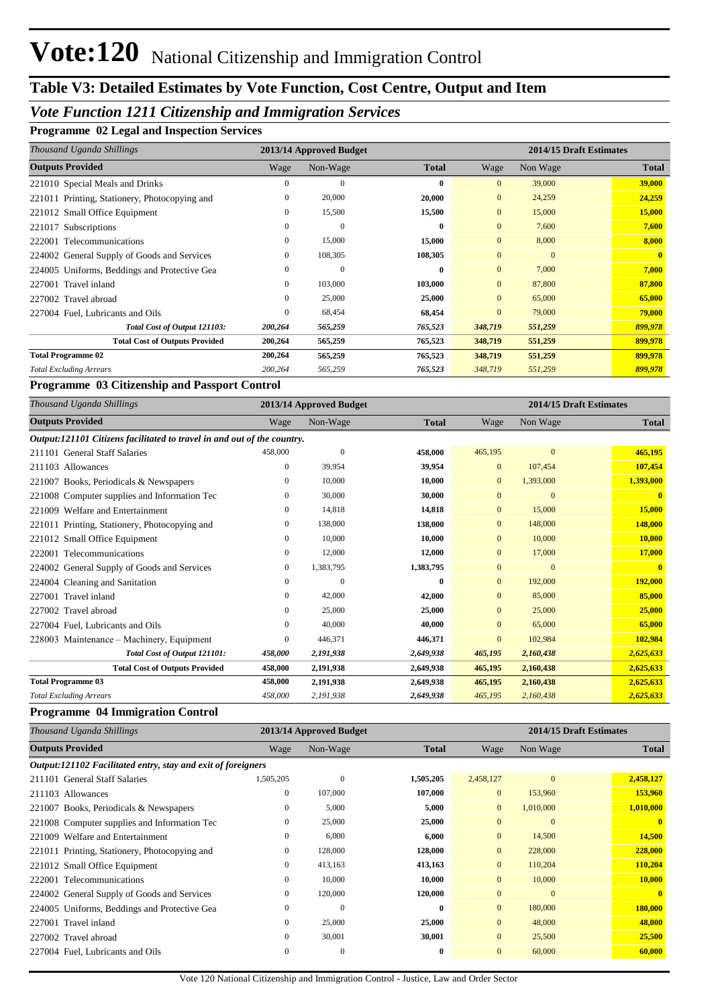## **Table V3: Detailed Estimates by Vote Function, Cost Centre, Output and Item**

### *Vote Function 1211 Citizenship and Immigration Services*

#### **Programme 02 Legal and Inspection Services**

| Thousand Uganda Shillings                     | 2013/14 Approved Budget |                |              |                | 2014/15 Draft Estimates |              |  |
|-----------------------------------------------|-------------------------|----------------|--------------|----------------|-------------------------|--------------|--|
| <b>Outputs Provided</b>                       | Wage                    | Non-Wage       | <b>Total</b> | Wage           | Non Wage                | <b>Total</b> |  |
| 221010 Special Meals and Drinks               | $\mathbf{0}$            | $\mathbf{0}$   | $\mathbf{0}$ | $\mathbf{0}$   | 39,000                  | 39,000       |  |
| 221011 Printing, Stationery, Photocopying and | $\mathbf{0}$            | 20,000         | 20,000       | $\overline{0}$ | 24,259                  | 24,259       |  |
| 221012 Small Office Equipment                 | 0                       | 15,500         | 15,500       | $\overline{0}$ | 15,000                  | 15,000       |  |
| 221017 Subscriptions                          | 0                       | $\mathbf{0}$   | $\bf{0}$     | $\overline{0}$ | 7,600                   | 7,600        |  |
| 222001 Telecommunications                     | $\mathbf{0}$            | 15,000         | 15,000       | $\overline{0}$ | 8,000                   | 8,000        |  |
| 224002 General Supply of Goods and Services   | 0                       | 108,305        | 108,305      | $\overline{0}$ | $\Omega$                | $\mathbf{0}$ |  |
| 224005 Uniforms, Beddings and Protective Gea  | 0                       | $\overline{0}$ | $\bf{0}$     | $\overline{0}$ | 7,000                   | 7,000        |  |
| 227001 Travel inland                          | 0                       | 103,000        | 103,000      | $\overline{0}$ | 87,800                  | 87,800       |  |
| 227002 Travel abroad                          | $\mathbf{0}$            | 25,000         | 25,000       | $\overline{0}$ | 65,000                  | 65,000       |  |
| 227004 Fuel, Lubricants and Oils              | $\mathbf{0}$            | 68,454         | 68,454       | $\overline{0}$ | 79,000                  | 79,000       |  |
| Total Cost of Output 121103:                  | 200,264                 | 565,259        | 765,523      | 348,719        | 551,259                 | 899,978      |  |
| <b>Total Cost of Outputs Provided</b>         | 200,264                 | 565,259        | 765,523      | 348,719        | 551,259                 | 899,978      |  |
| <b>Total Programme 02</b>                     | 200,264                 | 565,259        | 765,523      | 348,719        | 551,259                 | 899,978      |  |
| <b>Total Excluding Arrears</b>                | 200,264                 | 565,259        | 765,523      | 348,719        | 551,259                 | 899,978      |  |

#### **Programme 03 Citizenship and Passport Control**

| Thousand Uganda Shillings                                               |         | 2013/14 Approved Budget |              | 2014/15 Draft Estimates |                |              |
|-------------------------------------------------------------------------|---------|-------------------------|--------------|-------------------------|----------------|--------------|
| <b>Outputs Provided</b>                                                 | Wage    | Non-Wage                | <b>Total</b> | Wage                    | Non Wage       | <b>Total</b> |
| Output:121101 Citizens facilitated to travel in and out of the country. |         |                         |              |                         |                |              |
| 211101 General Staff Salaries                                           | 458,000 | $\mathbf{0}$            | 458,000      | 465,195                 | $\mathbf{0}$   | 465,195      |
| 211103 Allowances                                                       | 0       | 39,954                  | 39,954       | $\mathbf{0}$            | 107,454        | 107,454      |
| 221007 Books, Periodicals & Newspapers                                  | 0       | 10,000                  | 10,000       | $\mathbf{0}$            | 1,393,000      | 1,393,000    |
| 221008 Computer supplies and Information Tec                            | 0       | 30,000                  | 30,000       | $\mathbf{0}$            | $\overline{0}$ | $\mathbf{0}$ |
| 221009 Welfare and Entertainment                                        | 0       | 14,818                  | 14,818       | $\mathbf{0}$            | 15,000         | 15,000       |
| 221011 Printing, Stationery, Photocopying and                           | 0       | 138,000                 | 138,000      | $\mathbf{0}$            | 148,000        | 148,000      |
| 221012 Small Office Equipment                                           | 0       | 10,000                  | 10,000       | $\mathbf{0}$            | 10,000         | 10,000       |
| 222001 Telecommunications                                               | 0       | 12,000                  | 12,000       | $\mathbf{0}$            | 17,000         | 17,000       |
| 224002 General Supply of Goods and Services                             | 0       | 1,383,795               | 1,383,795    | $\mathbf{0}$            | $\overline{0}$ | $\mathbf{0}$ |
| 224004 Cleaning and Sanitation                                          | 0       | $\mathbf{0}$            | $\bf{0}$     | $\overline{0}$          | 192,000        | 192,000      |
| 227001 Travel inland                                                    | 0       | 42,000                  | 42,000       | $\mathbf{0}$            | 85,000         | 85,000       |
| 227002 Travel abroad                                                    | 0       | 25,000                  | 25,000       | $\mathbf{0}$            | 25,000         | 25,000       |
| 227004 Fuel, Lubricants and Oils                                        | 0       | 40,000                  | 40,000       | $\mathbf{0}$            | 65,000         | 65,000       |
| 228003 Maintenance – Machinery, Equipment                               | 0       | 446,371                 | 446,371      | $\mathbf{0}$            | 102,984        | 102,984      |
| Total Cost of Output 121101:                                            | 458,000 | 2,191,938               | 2,649,938    | 465,195                 | 2,160,438      | 2,625,633    |
| <b>Total Cost of Outputs Provided</b>                                   | 458,000 | 2,191,938               | 2,649,938    | 465,195                 | 2,160,438      | 2,625,633    |
| <b>Total Programme 03</b>                                               | 458,000 | 2,191,938               | 2,649,938    | 465,195                 | 2,160,438      | 2,625,633    |
| <b>Total Excluding Arrears</b>                                          | 458,000 | 2,191,938               | 2,649,938    | 465,195                 | 2,160,438      | 2,625,633    |

#### **Programme 04 Immigration Control**

| Thousand Uganda Shillings                                    | 2013/14 Approved Budget |              |              | 2014/15 Draft Estimates |              |              |
|--------------------------------------------------------------|-------------------------|--------------|--------------|-------------------------|--------------|--------------|
| <b>Outputs Provided</b>                                      | Wage                    | Non-Wage     | <b>Total</b> | Wage                    | Non Wage     | <b>Total</b> |
| Output:121102 Facilitated entry, stay and exit of foreigners |                         |              |              |                         |              |              |
| 211101 General Staff Salaries                                | 1,505,205               | $\mathbf{0}$ | 1,505,205    | 2,458,127               | $\mathbf{0}$ | 2,458,127    |
| 211103 Allowances                                            | $\boldsymbol{0}$        | 107,000      | 107,000      | $\overline{0}$          | 153,960      | 153,960      |
| 221007 Books, Periodicals & Newspapers                       | $\mathbf{0}$            | 5,000        | 5,000        | $\mathbf{0}$            | 1,010,000    | 1,010,000    |
| 221008 Computer supplies and Information Tec                 | $\mathbf{0}$            | 25,000       | 25,000       | $\mathbf{0}$            | $\mathbf{0}$ | $\mathbf{0}$ |
| 221009 Welfare and Entertainment                             | $\boldsymbol{0}$        | 6,000        | 6,000        | $\overline{0}$          | 14,500       | 14,500       |
| 221011 Printing, Stationery, Photocopying and                | $\boldsymbol{0}$        | 128,000      | 128,000      | $\overline{0}$          | 228,000      | 228,000      |
| 221012 Small Office Equipment                                | $\mathbf{0}$            | 413,163      | 413,163      | $\overline{0}$          | 110,204      | 110,204      |
| 222001 Telecommunications                                    | $\mathbf{0}$            | 10,000       | 10,000       | $\overline{0}$          | 10,000       | 10,000       |
| 224002 General Supply of Goods and Services                  | $\mathbf{0}$            | 120,000      | 120,000      | $\overline{0}$          | $\mathbf{0}$ | $\mathbf{0}$ |
| 224005 Uniforms, Beddings and Protective Gea                 | $\mathbf{0}$            | $\Omega$     | $\mathbf{0}$ | $\overline{0}$          | 180,000      | 180,000      |
| 227001 Travel inland                                         | $\mathbf{0}$            | 25,000       | 25,000       | $\overline{0}$          | 48,000       | 48,000       |
| 227002 Travel abroad                                         | $\mathbf{0}$            | 30,001       | 30,001       | $\overline{0}$          | 25,500       | 25,500       |
| 227004 Fuel, Lubricants and Oils                             | $\mathbf{0}$            | $\mathbf{0}$ | $\bf{0}$     | $\overline{0}$          | 60,000       | 60,000       |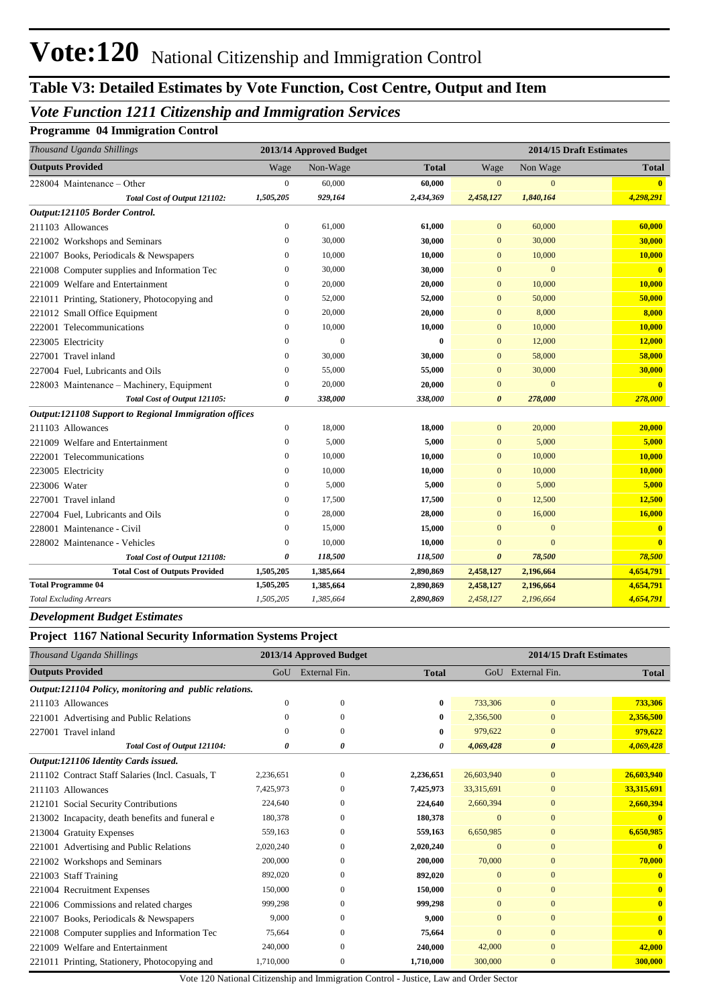## **Table V3: Detailed Estimates by Vote Function, Cost Centre, Output and Item**

### *Vote Function 1211 Citizenship and Immigration Services*

**Programme 04 Immigration Control**

| Thousand Uganda Shillings                             |                  | 2013/14 Approved Budget |              |                       | 2014/15 Draft Estimates |                         |  |
|-------------------------------------------------------|------------------|-------------------------|--------------|-----------------------|-------------------------|-------------------------|--|
| <b>Outputs Provided</b>                               | Wage             | Non-Wage                | <b>Total</b> | Wage                  | <b>Total</b>            |                         |  |
| 228004 Maintenance – Other                            | $\overline{0}$   | 60,000                  | 60,000       | $\overline{0}$        | $\overline{0}$          |                         |  |
| Total Cost of Output 121102:                          | 1,505,205        | 929,164                 | 2,434,369    | 2,458,127             | 1,840,164               | 4,298,291               |  |
| Output:121105 Border Control.                         |                  |                         |              |                       |                         |                         |  |
| 211103 Allowances                                     | $\boldsymbol{0}$ | 61,000                  | 61,000       | $\mathbf{0}$          | 60,000                  | 60,000                  |  |
| 221002 Workshops and Seminars                         | $\overline{0}$   | 30,000                  | 30,000       | $\mathbf{0}$          | 30,000                  | 30,000                  |  |
| 221007 Books, Periodicals & Newspapers                | $\boldsymbol{0}$ | 10,000                  | 10,000       | $\mathbf{0}$          | 10,000                  | 10,000                  |  |
| 221008 Computer supplies and Information Tec          | $\mathbf{0}$     | 30,000                  | 30,000       | $\overline{0}$        | $\overline{0}$          | $\mathbf{0}$            |  |
| 221009 Welfare and Entertainment                      | $\overline{0}$   | 20,000                  | 20,000       | $\overline{0}$        | 10,000                  | 10,000                  |  |
| 221011 Printing, Stationery, Photocopying and         | $\overline{0}$   | 52,000                  | 52,000       | $\mathbf{0}$          | 50,000                  | 50,000                  |  |
| 221012 Small Office Equipment                         | $\overline{0}$   | 20,000                  | 20,000       | $\overline{0}$        | 8,000                   | 8,000                   |  |
| 222001 Telecommunications                             | $\boldsymbol{0}$ | 10,000                  | 10,000       | $\mathbf{0}$          | 10,000                  | 10,000                  |  |
| 223005 Electricity                                    | $\mathbf{0}$     | $\overline{0}$          | $\bf{0}$     | $\overline{0}$        | 12,000                  | 12,000                  |  |
| 227001 Travel inland                                  | $\boldsymbol{0}$ | 30,000                  | 30,000       | $\mathbf{0}$          | 58,000                  | 58,000                  |  |
| 227004 Fuel, Lubricants and Oils                      | $\mathbf{0}$     | 55,000                  | 55,000       | $\overline{0}$        | 30,000                  | 30,000                  |  |
| 228003 Maintenance – Machinery, Equipment             | $\boldsymbol{0}$ | 20,000                  | 20,000       | $\boldsymbol{0}$      | $\mathbf{0}$            | $\mathbf{0}$            |  |
| Total Cost of Output 121105:                          | 0                | 338,000                 | 338,000      | $\boldsymbol{\theta}$ | 278,000                 | 278,000                 |  |
| Output:121108 Support to Regional Immigration offices |                  |                         |              |                       |                         |                         |  |
| 211103 Allowances                                     | $\mathbf{0}$     | 18,000                  | 18,000       | $\mathbf{0}$          | 20,000                  | 20,000                  |  |
| 221009 Welfare and Entertainment                      | $\boldsymbol{0}$ | 5,000                   | 5,000        | $\mathbf{0}$          | 5,000                   | 5,000                   |  |
| 222001 Telecommunications                             | $\mathbf{0}$     | 10,000                  | 10,000       | $\mathbf{0}$          | 10,000                  | 10,000                  |  |
| 223005 Electricity                                    | $\mathbf{0}$     | 10.000                  | 10,000       | $\overline{0}$        | 10,000                  | 10,000                  |  |
| 223006 Water                                          | $\boldsymbol{0}$ | 5,000                   | 5,000        | $\mathbf{0}$          | 5,000                   | 5,000                   |  |
| 227001 Travel inland                                  | $\mathbf{0}$     | 17,500                  | 17,500       | $\overline{0}$        | 12,500                  | 12,500                  |  |
| 227004 Fuel, Lubricants and Oils                      | $\boldsymbol{0}$ | 28,000                  | 28,000       | $\overline{0}$        | 16,000                  | 16,000                  |  |
| 228001 Maintenance - Civil                            | $\mathbf{0}$     | 15,000                  | 15,000       | $\overline{0}$        | $\overline{0}$          | $\overline{\mathbf{0}}$ |  |
| 228002 Maintenance - Vehicles                         | $\boldsymbol{0}$ | 10,000                  | 10,000       | $\Omega$              | $\mathbf{0}$            | $\overline{0}$          |  |
| Total Cost of Output 121108:                          | 0                | 118,500                 | 118,500      | $\boldsymbol{\theta}$ | 78,500                  | 78,500                  |  |
| <b>Total Cost of Outputs Provided</b>                 | 1,505,205        | 1,385,664               | 2,890,869    | 2,458,127             | 2,196,664               | 4,654,791               |  |
| <b>Total Programme 04</b>                             | 1,505,205        | 1,385,664               | 2,890,869    | 2,458,127             | 2,196,664               | 4,654,791               |  |
| <b>Total Excluding Arrears</b>                        | 1,505,205        | 1,385,664               | 2,890,869    | 2,458,127             | 2,196,664               | 4,654,791               |  |

*Development Budget Estimates*

#### **Project 1167 National Security Information Systems Project**

| Thousand Uganda Shillings                              |           | 2013/14 Approved Budget | 2014/15 Draft Estimates |                |                       |              |
|--------------------------------------------------------|-----------|-------------------------|-------------------------|----------------|-----------------------|--------------|
| <b>Outputs Provided</b>                                | GoU       | External Fin.           | <b>Total</b>            |                | GoU External Fin.     | <b>Total</b> |
| Output:121104 Policy, monitoring and public relations. |           |                         |                         |                |                       |              |
| 211103 Allowances                                      | $\Omega$  | $\theta$                | $\bf{0}$                | 733,306        | $\mathbf{0}$          | 733,306      |
| 221001 Advertising and Public Relations                | $\Omega$  | $\Omega$                | $\bf{0}$                | 2,356,500      | $\mathbf{0}$          | 2,356,500    |
| 227001 Travel inland                                   | $\Omega$  | $\Omega$                | $\bf{0}$                | 979,622        | $\mathbf{0}$          | 979,622      |
| Total Cost of Output 121104:                           | 0         | 0                       | 0                       | 4,069,428      | $\boldsymbol{\theta}$ | 4,069,428    |
| Output:121106 Identity Cards issued.                   |           |                         |                         |                |                       |              |
| 211102 Contract Staff Salaries (Incl. Casuals, T       | 2,236,651 | $\Omega$                | 2,236,651               | 26,603,940     | $\mathbf{0}$          | 26,603,940   |
| 211103 Allowances                                      | 7,425,973 | $\Omega$                | 7,425,973               | 33,315,691     | $\mathbf{0}$          | 33,315,691   |
| 212101 Social Security Contributions                   | 224,640   | $\Omega$                | 224,640                 | 2,660,394      | $\overline{0}$        | 2,660,394    |
| 213002 Incapacity, death benefits and funeral e        | 180,378   | $\mathbf{0}$            | 180,378                 | $\overline{0}$ | $\mathbf{0}$          |              |
| 213004 Gratuity Expenses                               | 559,163   | $\Omega$                | 559,163                 | 6,650,985      | $\Omega$              | 6,650,985    |
| 221001 Advertising and Public Relations                | 2,020,240 | $\Omega$                | 2,020,240               | $\Omega$       | $\mathbf{0}$          |              |
| Workshops and Seminars<br>221002                       | 200,000   | $\mathbf{0}$            | 200,000                 | 70,000         | $\mathbf{0}$          | 70,000       |
| 221003 Staff Training                                  | 892,020   | $\Omega$                | 892,020                 | $\Omega$       | $\Omega$              | $\mathbf{0}$ |
| 221004 Recruitment Expenses                            | 150,000   | $\Omega$                | 150,000                 | $\Omega$       | $\Omega$              | $\mathbf{0}$ |
| 221006 Commissions and related charges                 | 999,298   | $\mathbf{0}$            | 999,298                 | $\mathbf{0}$   | $\mathbf{0}$          | $\mathbf{0}$ |
| 221007 Books, Periodicals & Newspapers                 | 9,000     | $\Omega$                | 9,000                   | $\mathbf{0}$   | $\overline{0}$        | $\mathbf{0}$ |
| 221008 Computer supplies and Information Tec           | 75,664    | $\Omega$                | 75,664                  | $\Omega$       | $\Omega$              | $\mathbf{0}$ |
| Welfare and Entertainment<br>221009                    | 240,000   | $\Omega$                | 240,000                 | 42,000         | $\mathbf{0}$          | 42,000       |
| 221011 Printing, Stationery, Photocopying and          | 1,710,000 | $\Omega$                | 1,710,000               | 300,000        | $\overline{0}$        | 300,000      |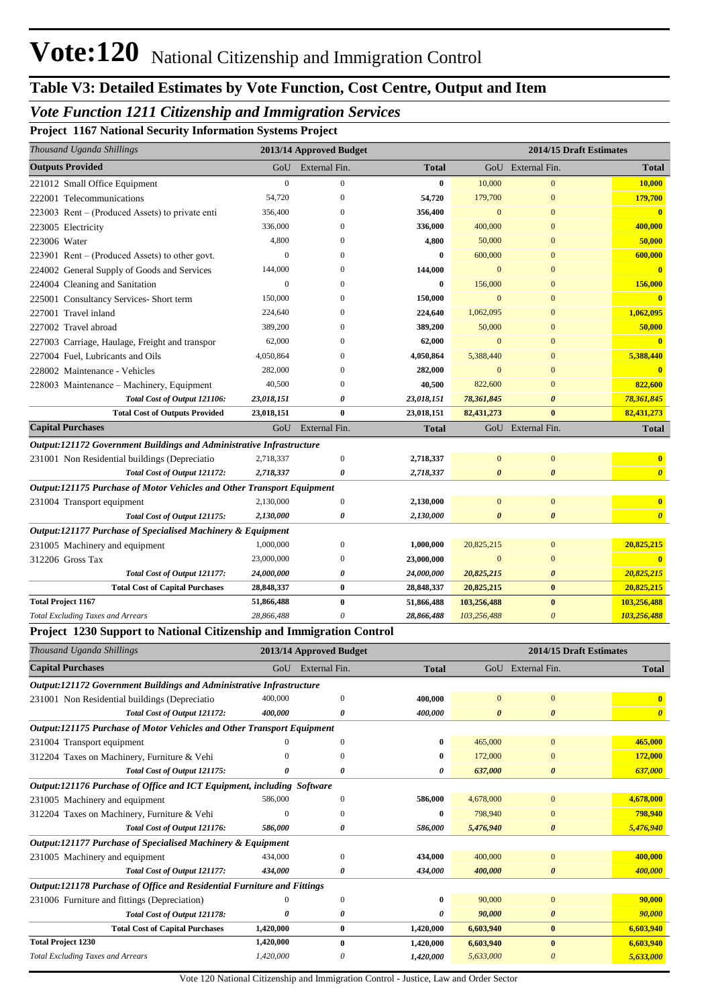## **Table V3: Detailed Estimates by Vote Function, Cost Centre, Output and Item**

### *Vote Function 1211 Citizenship and Immigration Services*

**Project 1167 National Security Information Systems Project**

| Thousand Uganda Shillings                                               |                  | 2013/14 Approved Budget   |              | 2014/15 Draft Estimates |                           |                       |
|-------------------------------------------------------------------------|------------------|---------------------------|--------------|-------------------------|---------------------------|-----------------------|
| <b>Outputs Provided</b>                                                 | GoU              | External Fin.             | Total        |                         | GoU External Fin.         | <b>Total</b>          |
| 221012 Small Office Equipment                                           | $\boldsymbol{0}$ | $\boldsymbol{0}$          | 0            | 10,000                  | $\boldsymbol{0}$          | <b>10,000</b>         |
| 222001 Telecommunications                                               | 54,720           | $\boldsymbol{0}$          | 54,720       | 179,700                 | $\mathbf{0}$              | 179,700               |
| 223003 Rent – (Produced Assets) to private enti                         | 356,400          | 0                         | 356,400      | $\mathbf{0}$            | $\mathbf{0}$              | $\mathbf{0}$          |
| 223005 Electricity                                                      | 336,000          | 0                         | 336,000      | 400,000                 | $\mathbf{0}$              | 400,000               |
| 223006 Water                                                            | 4,800            | 0                         | 4,800        | 50,000                  | $\mathbf{0}$              | 50,000                |
| $223901$ Rent – (Produced Assets) to other govt.                        | $\mathbf{0}$     | 0                         | 0            | 600,000                 | $\mathbf{0}$              | 600,000               |
| 224002 General Supply of Goods and Services                             | 144,000          | $\left($                  | 144,000      | $\mathbf{0}$            | $\mathbf{0}$              | $\mathbf{0}$          |
| 224004 Cleaning and Sanitation                                          | $\boldsymbol{0}$ | $\Omega$                  | 0            | 156,000                 | $\mathbf{0}$              | 156,000               |
| 225001 Consultancy Services- Short term                                 | 150,000          | $\left($                  | 150,000      | $\mathbf{0}$            | $\mathbf{0}$              | $\mathbf{0}$          |
| 227001 Travel inland                                                    | 224,640          | $\left($                  | 224,640      | 1,062,095               | $\mathbf{0}$              | 1,062,095             |
| 227002 Travel abroad                                                    | 389,200          | $\left($                  | 389,200      | 50,000                  | $\mathbf{0}$              | 50,000                |
| 227003 Carriage, Haulage, Freight and transpor                          | 62,000           | 0                         | 62,000       | $\mathbf{0}$            | $\mathbf{0}$              | $\mathbf{0}$          |
| 227004 Fuel, Lubricants and Oils                                        | 4,050,864        | $\left($                  | 4,050,864    | 5,388,440               | $\mathbf{0}$              | 5,388,440             |
| 228002 Maintenance - Vehicles                                           | 282,000          | 0                         | 282,000      | $\mathbf{0}$            | $\mathbf{0}$              | $\bf{0}$              |
| 228003 Maintenance – Machinery, Equipment                               | 40,500           | $\left($                  | 40,500       | 822,600                 | $\mathbf{0}$              | 822,600               |
| Total Cost of Output 121106:                                            | 23,018,151       | 0                         | 23,018,151   | 78,361,845              | 0                         | 78,361,845            |
| <b>Total Cost of Outputs Provided</b>                                   | 23,018,151       | $\bf{0}$                  | 23,018,151   | 82,431,273              | $\bf{0}$                  | 82,431,273            |
| <b>Capital Purchases</b>                                                | GoU              | External Fin.             | <b>Total</b> |                         | GoU External Fin.         | <b>Total</b>          |
| Output:121172 Government Buildings and Administrative Infrastructure    |                  |                           |              |                         |                           |                       |
| 231001 Non Residential buildings (Depreciatio                           | 2,718,337        | $\mathbf{0}$              | 2,718,337    | $\mathbf{0}$            | $\mathbf{0}$              | $\mathbf{0}$          |
| Total Cost of Output 121172:                                            | 2,718,337        | 0                         | 2,718,337    | 0                       | $\boldsymbol{\theta}$     | $\boldsymbol{\theta}$ |
| Output:121175 Purchase of Motor Vehicles and Other Transport Equipment  |                  |                           |              |                         |                           |                       |
| 231004 Transport equipment                                              | 2,130,000        | $\boldsymbol{0}$          | 2,130,000    | $\mathbf{0}$            | $\mathbf{0}$              | $\mathbf{0}$          |
| Total Cost of Output 121175:                                            | 2,130,000        | 0                         | 2,130,000    | $\boldsymbol{\theta}$   | $\boldsymbol{\theta}$     | $\boldsymbol{\theta}$ |
| Output:121177 Purchase of Specialised Machinery & Equipment             |                  |                           |              |                         |                           |                       |
| 231005 Machinery and equipment                                          | 1,000,000        | $\boldsymbol{0}$          | 1,000,000    | 20,825,215              | $\boldsymbol{0}$          | 20,825,215            |
| 312206 Gross Tax                                                        | 23,000,000       | $\mathbf{0}$              | 23,000,000   | $\mathbf{0}$            | $\mathbf{0}$              | $\mathbf{0}$          |
| Total Cost of Output 121177:                                            | 24,000,000       | 0                         | 24,000,000   | 20,825,215              | $\boldsymbol{\theta}$     | 20,825,215            |
| <b>Total Cost of Capital Purchases</b>                                  | 28,848,337       | $\bf{0}$                  | 28,848,337   | 20,825,215              | $\bf{0}$                  | 20,825,215            |
| <b>Total Project 1167</b>                                               | 51,866,488       | $\bf{0}$                  | 51,866,488   | 103,256,488             | $\bf{0}$                  | 103,256,488           |
| <b>Total Excluding Taxes and Arrears</b>                                | 28,866,488       | $\theta$                  | 28,866,488   | 103,256,488             | $\boldsymbol{\theta}$     | 103,256,488           |
| Project 1230 Support to National Citizenship and Immigration Control    |                  |                           |              |                         |                           |                       |
| Thousand Uganda Shillings                                               |                  | 2013/14 Approved Budget   |              |                         | 2014/15 Draft Estimates   |                       |
| <b>Capital Purchases</b>                                                |                  | GoU External Fin.         | <b>Total</b> |                         | GoU External Fin.         | <b>Total</b>          |
| Output:121172 Government Buildings and Administrative Infrastructure    |                  |                           |              |                         |                           |                       |
| 231001 Non Residential buildings (Depreciatio                           | 400,000          | $\boldsymbol{0}$          | 400,000      | $\mathbf{0}$            | $\bf{0}$                  | $\mathbf{0}$          |
| Total Cost of Output 121172:                                            | 400,000          | 0                         | 400,000      | $\boldsymbol{\theta}$   | 0                         | $\boldsymbol{\theta}$ |
| Output:121175 Purchase of Motor Vehicles and Other Transport Equipment  |                  |                           |              |                         |                           |                       |
| 231004 Transport equipment                                              |                  | $\boldsymbol{0}$          | $\bf{0}$     | 465,000                 | $\bf{0}$                  | 465,000               |
| 312204 Taxes on Machinery, Furniture & Vehi                             | $\Omega$         | $\mathbf{0}$              | 0            | 172,000                 | $\boldsymbol{0}$          | 172,000               |
| Total Cost of Output 121175:                                            | 0                | 0                         | 0            | 637,000                 | $\boldsymbol{\theta}$     | 637,000               |
| Output:121176 Purchase of Office and ICT Equipment, including Software  |                  |                           |              |                         |                           |                       |
| 231005 Machinery and equipment                                          | 586,000          | $\boldsymbol{0}$          | 586,000      | 4,678,000               | $\boldsymbol{0}$          | 4,678,000             |
| 312204 Taxes on Machinery, Furniture & Vehi                             | $\boldsymbol{0}$ | $\boldsymbol{0}$          | 0            | 798,940                 | $\boldsymbol{0}$          | 798,940               |
| Total Cost of Output 121176:                                            | 586,000          | 0                         | 586,000      | 5,476,940               | $\boldsymbol{\theta}$     | 5,476,940             |
| Output:121177 Purchase of Specialised Machinery & Equipment             |                  |                           |              |                         |                           |                       |
| 231005 Machinery and equipment                                          | 434,000          | $\mathbf{0}$              | 434,000      | 400,000                 | $\boldsymbol{0}$          | 400,000               |
| Total Cost of Output 121177:                                            | 434,000          | 0                         | 434,000      | 400,000                 | 0                         | 400,000               |
| Output:121178 Purchase of Office and Residential Furniture and Fittings |                  |                           |              |                         |                           |                       |
| 231006 Furniture and fittings (Depreciation)                            | $\mathbf{0}$     | $\boldsymbol{0}$          | $\bf{0}$     | 90,000                  | $\boldsymbol{0}$          | 90,000                |
| Total Cost of Output 121178:                                            | 0                | 0                         | 0            | 90,000                  | 0                         | 90,000                |
| <b>Total Cost of Capital Purchases</b>                                  | 1,420,000        | $\boldsymbol{0}$          | 1,420,000    | 6,603,940               | $\bf{0}$                  | 6,603,940             |
| <b>Total Project 1230</b>                                               | 1,420,000        | $\bf{0}$                  | 1,420,000    | 6,603,940               | $\bf{0}$                  | 6,603,940             |
| <b>Total Excluding Taxes and Arrears</b>                                | 1,420,000        | $\boldsymbol{\mathit{0}}$ | 1,420,000    | 5,633,000               | $\boldsymbol{\mathit{0}}$ | 5,633,000             |
|                                                                         |                  |                           |              |                         |                           |                       |